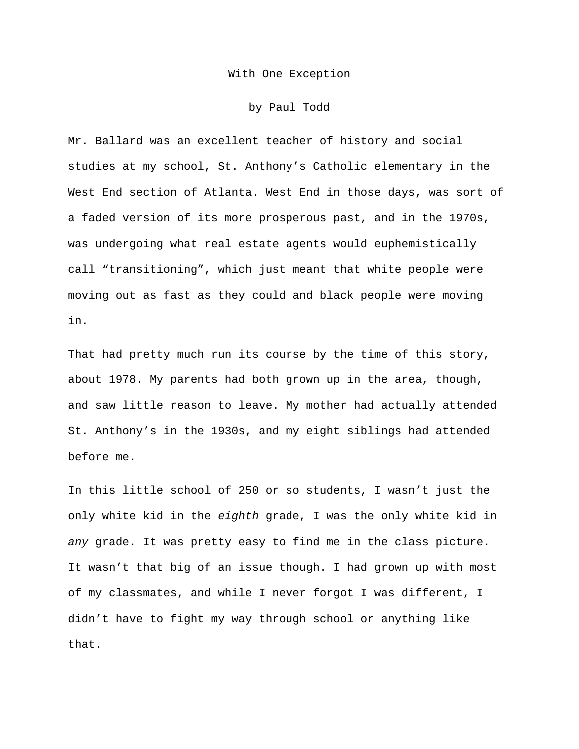With One Exception

by Paul Todd

Mr. Ballard was an excellent teacher of history and social studies at my school, St. Anthony's Catholic elementary in the West End section of Atlanta. West End in those days, was sort of a faded version of its more prosperous past, and in the 1970s, was undergoing what real estate agents would euphemistically call "transitioning", which just meant that white people were moving out as fast as they could and black people were moving in.

That had pretty much run its course by the time of this story, about 1978. My parents had both grown up in the area, though, and saw little reason to leave. My mother had actually attended St. Anthony's in the 1930s, and my eight siblings had attended before me.

In this little school of 250 or so students, I wasn't just the only white kid in the *eighth* grade, I was the only white kid in *any* grade. It was pretty easy to find me in the class picture. It wasn't that big of an issue though. I had grown up with most of my classmates, and while I never forgot I was different, I didn't have to fight my way through school or anything like that.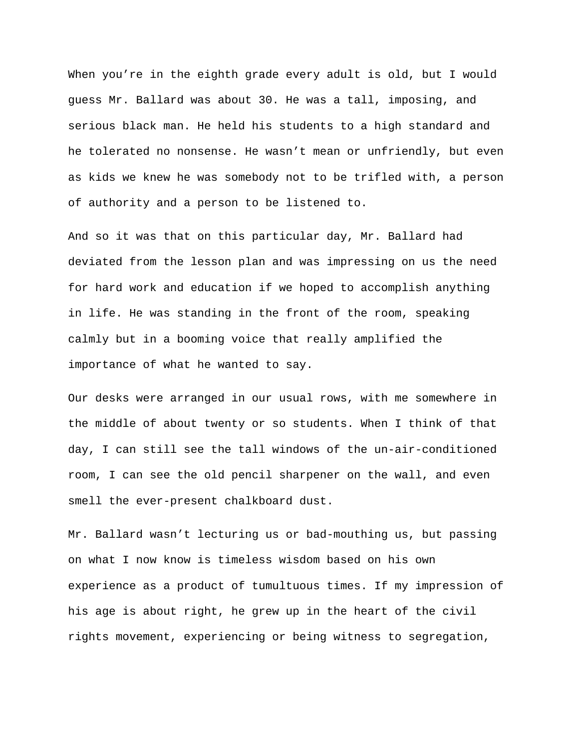When you're in the eighth grade every adult is old, but I would guess Mr. Ballard was about 30. He was a tall, imposing, and serious black man. He held his students to a high standard and he tolerated no nonsense. He wasn't mean or unfriendly, but even as kids we knew he was somebody not to be trifled with, a person of authority and a person to be listened to.

And so it was that on this particular day, Mr. Ballard had deviated from the lesson plan and was impressing on us the need for hard work and education if we hoped to accomplish anything in life. He was standing in the front of the room, speaking calmly but in a booming voice that really amplified the importance of what he wanted to say.

Our desks were arranged in our usual rows, with me somewhere in the middle of about twenty or so students. When I think of that day, I can still see the tall windows of the un-air-conditioned room, I can see the old pencil sharpener on the wall, and even smell the ever-present chalkboard dust.

Mr. Ballard wasn't lecturing us or bad-mouthing us, but passing on what I now know is timeless wisdom based on his own experience as a product of tumultuous times. If my impression of his age is about right, he grew up in the heart of the civil rights movement, experiencing or being witness to segregation,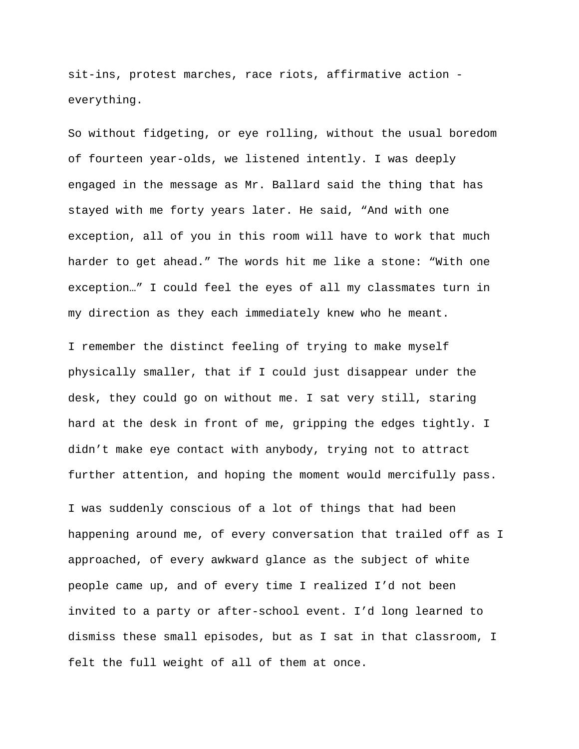sit-ins, protest marches, race riots, affirmative action everything.

So without fidgeting, or eye rolling, without the usual boredom of fourteen year-olds, we listened intently. I was deeply engaged in the message as Mr. Ballard said the thing that has stayed with me forty years later. He said, "And with one exception, all of you in this room will have to work that much harder to get ahead." The words hit me like a stone: "With one exception…" I could feel the eyes of all my classmates turn in my direction as they each immediately knew who he meant.

I remember the distinct feeling of trying to make myself physically smaller, that if I could just disappear under the desk, they could go on without me. I sat very still, staring hard at the desk in front of me, gripping the edges tightly. I didn't make eye contact with anybody, trying not to attract further attention, and hoping the moment would mercifully pass.

I was suddenly conscious of a lot of things that had been happening around me, of every conversation that trailed off as I approached, of every awkward glance as the subject of white people came up, and of every time I realized I'd not been invited to a party or after-school event. I'd long learned to dismiss these small episodes, but as I sat in that classroom, I felt the full weight of all of them at once.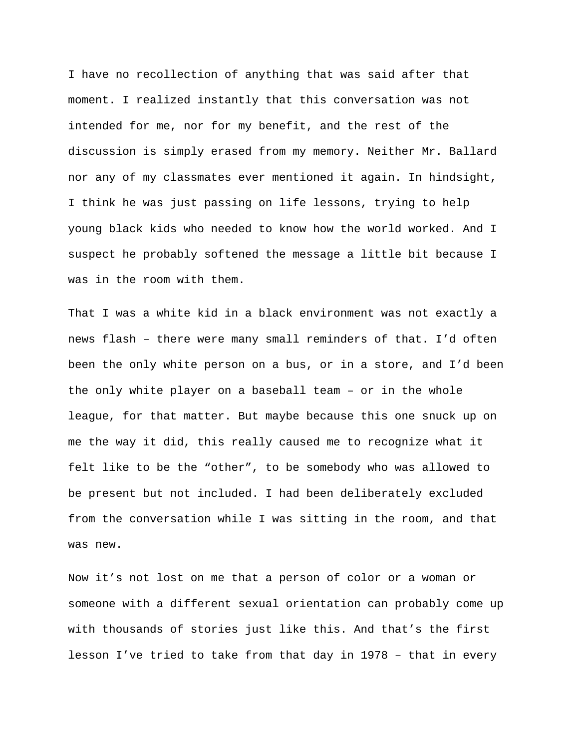I have no recollection of anything that was said after that moment. I realized instantly that this conversation was not intended for me, nor for my benefit, and the rest of the discussion is simply erased from my memory. Neither Mr. Ballard nor any of my classmates ever mentioned it again. In hindsight, I think he was just passing on life lessons, trying to help young black kids who needed to know how the world worked. And I suspect he probably softened the message a little bit because I was in the room with them.

That I was a white kid in a black environment was not exactly a news flash – there were many small reminders of that. I'd often been the only white person on a bus, or in a store, and I'd been the only white player on a baseball team – or in the whole league, for that matter. But maybe because this one snuck up on me the way it did, this really caused me to recognize what it felt like to be the "other", to be somebody who was allowed to be present but not included. I had been deliberately excluded from the conversation while I was sitting in the room, and that was new.

Now it's not lost on me that a person of color or a woman or someone with a different sexual orientation can probably come up with thousands of stories just like this. And that's the first lesson I've tried to take from that day in 1978 – that in every